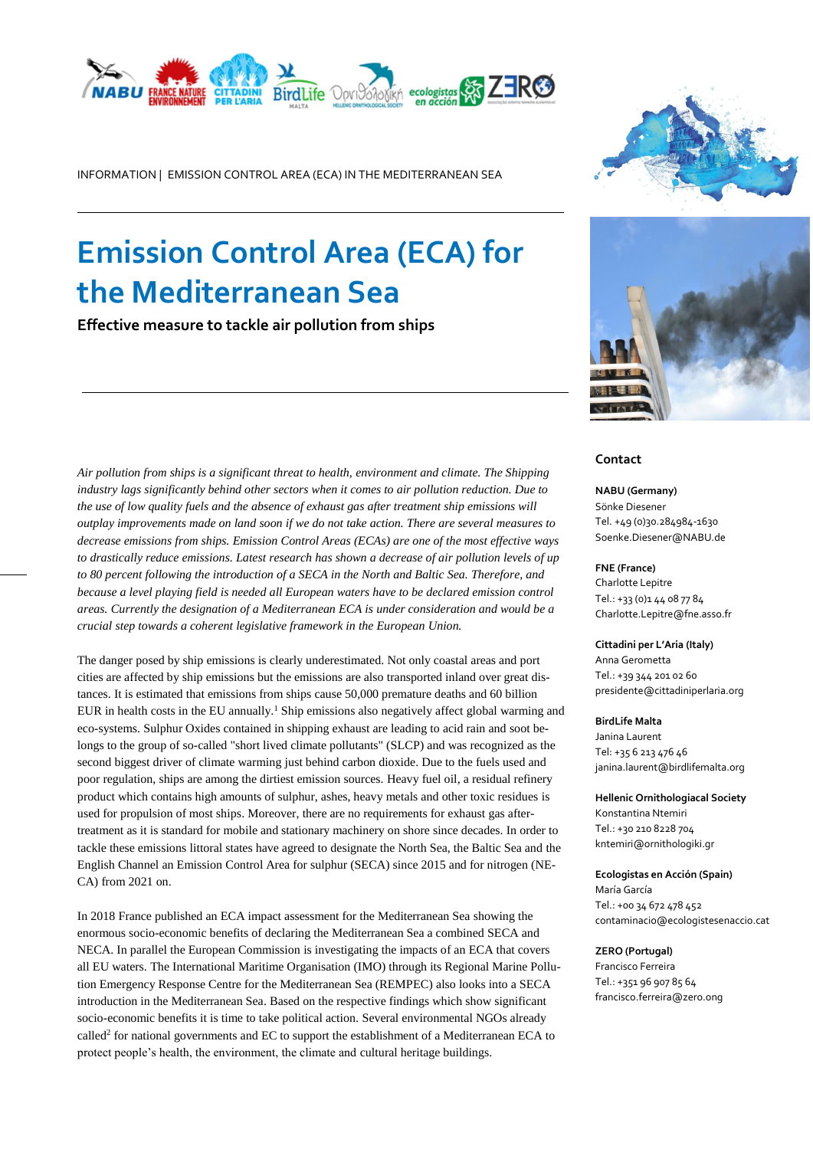

INFORMATION | EMISSION CONTROL AREA (ECA) IN THE MEDITERRANEAN SEA

# **Emission Control Area (ECA) for the Mediterranean Sea**

**Effective measure to tackle air pollution from ships**





#### **Contact**

**NABU (Germany)** Sönke Diesener Tel. +49 (0)30.284984-1630 Soenke.Diesener@NABU.de

#### **FNE (France)**

Charlotte Lepitre Tel.: +33 (0)1 44 08 77 84 Charlotte.Lepitre@fne.asso.fr

#### **Cittadini per L'Aria (Italy)**

Anna Gerometta Tel.: [+39 344](tel:%2B39%203442010260) 201 02 60 presidente@cittadiniperlaria.org

**BirdLife Malta** Janina Laurent Tel[: +35 6 213](tel:+35621347646) 476 46 [janina.laurent@birdlifemalta.org](mailto:janina.laurent@birdlifemalta.org)

**Hellenic Ornithologiacal Society** Konstantina Ntemiri Tel.[: +30 210 8228](tel:+302108228704113) 704 kntemiri@ornithologiki.gr

**Ecologistas en Acción (Spain)** María García Tel.: +00 34 672 478 452 contaminacio@ecologistesenaccio.cat

#### **ZERO (Portugal)**

Francisco Ferreira Tel.: +351 96 907 85 64 francisco.ferreira@zero.ong

*Air pollution from ships is a significant threat to health, environment and climate. The Shipping industry lags significantly behind other sectors when it comes to air pollution reduction. Due to the use of low quality fuels and the absence of exhaust gas after treatment ship emissions will outplay improvements made on land soon if we do not take action. There are several measures to decrease emissions from ships. Emission Control Areas (ECAs) are one of the most effective ways to drastically reduce emissions. Latest research has shown a decrease of air pollution levels of up to 80 percent following the introduction of a SECA in the North and Baltic Sea. Therefore, and because a level playing field is needed all European waters have to be declared emission control areas. Currently the designation of a Mediterranean ECA is under consideration and would be a crucial step towards a coherent legislative framework in the European Union.*

The danger posed by ship emissions is clearly underestimated. Not only coastal areas and port cities are affected by ship emissions but the emissions are also transported inland over great distances. It is estimated that emissions from ships cause 50,000 premature deaths and 60 billion EUR in health costs in the EU annually. <sup>1</sup> Ship emissions also negatively affect global warming and eco-systems. Sulphur Oxides contained in shipping exhaust are leading to acid rain and soot belongs to the group of so-called "short lived climate pollutants" (SLCP) and was recognized as the second biggest driver of climate warming just behind carbon dioxide. Due to the fuels used and poor regulation, ships are among the dirtiest emission sources. Heavy fuel oil, a residual refinery product which contains high amounts of sulphur, ashes, heavy metals and other toxic residues is used for propulsion of most ships. Moreover, there are no requirements for exhaust gas aftertreatment as it is standard for mobile and stationary machinery on shore since decades. In order to tackle these emissions littoral states have agreed to designate the North Sea, the Baltic Sea and the English Channel an Emission Control Area for sulphur (SECA) since 2015 and for nitrogen (NE-CA) from 2021 on.

In 2018 France published an ECA impact assessment for the Mediterranean Sea showing the enormous socio-economic benefits of declaring the Mediterranean Sea a combined SECA and NECA. In parallel the European Commission is investigating the impacts of an ECA that covers all EU waters. The International Maritime Organisation (IMO) through its Regional Marine Pollution Emergency Response Centre for the Mediterranean Sea (REMPEC) also looks into a SECA introduction in the Mediterranean Sea. Based on the respective findings which show significant socio-economic benefits it is time to take political action. Several environmental NGOs already [called](https://en.nabu.de/imperia/md/content/nabude/verkehr/170407-rome-declaration.pdf)<sup>2</sup> for national governments and EC to support the establishment of a Mediterranean ECA to protect people's health, the environment, the climate and cultural heritage buildings.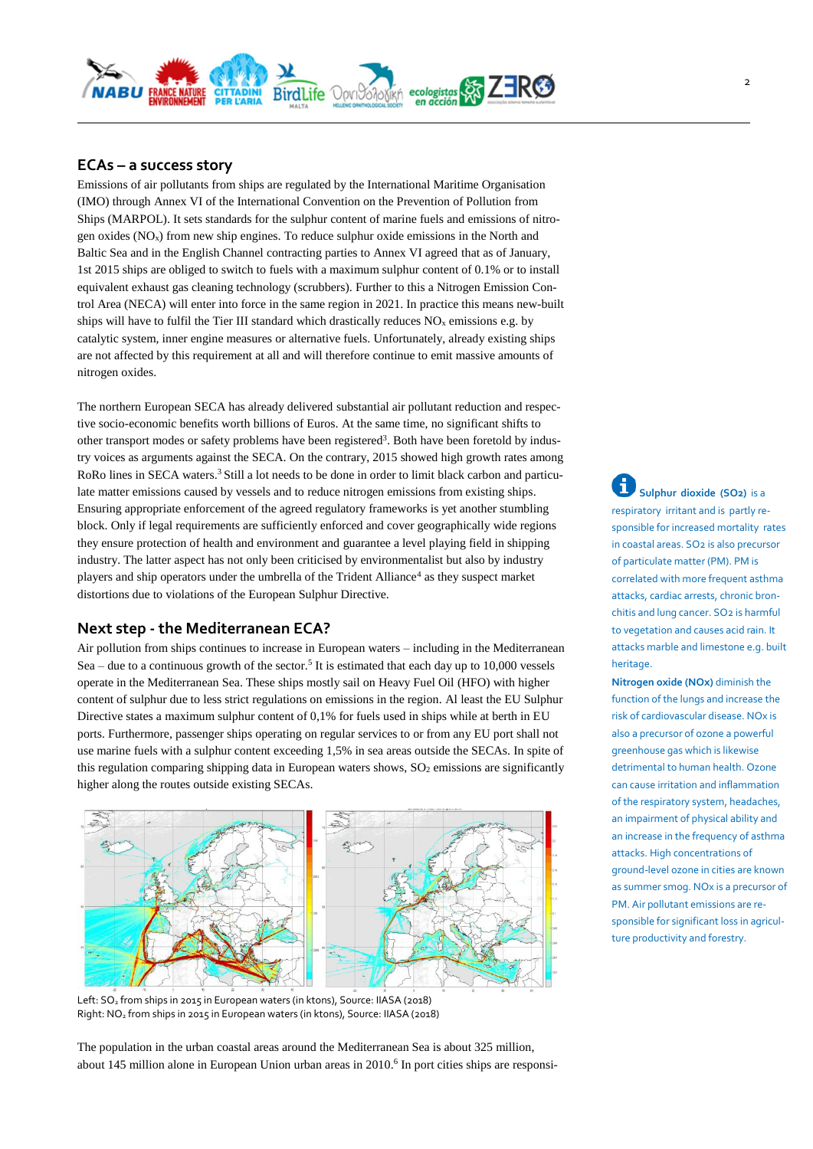

## **ECAs – a success story**

Emissions of air pollutants from ships are regulated by the International Maritime Organisation (IMO) through Annex VI of the International Convention on the Prevention of Pollution from Ships (MARPOL). It sets standards for the sulphur content of marine fuels and emissions of nitrogen oxides  $(NO<sub>x</sub>)$  from new ship engines. To reduce sulphur oxide emissions in the North and Baltic Sea and in the English Channel contracting parties to Annex VI agreed that as of January, 1st 2015 ships are obliged to switch to fuels with a maximum sulphur content of 0.1% or to install equivalent exhaust gas cleaning technology (scrubbers). Further to this a Nitrogen Emission Control Area (NECA) will enter into force in the same region in 2021. In practice this means new-built ships will have to fulfil the Tier III standard which drastically reduces  $NO<sub>x</sub>$  emissions e.g. by catalytic system, inner engine measures or alternative fuels. Unfortunately, already existing ships are not affected by this requirement at all and will therefore continue to emit massive amounts of nitrogen oxides.

The northern European SECA has already delivered substantial air pollutant reduction and respective socio-economic benefits worth billions of Euros. At the same time, no significant shifts to other transport modes or safety problems have been registered<sup>3</sup>. Both have been foretold by industry voices as arguments against the SECA. On the contrary, 2015 showed high growth rates among RoRo lines in SECA waters.<sup>3</sup> Still a lot needs to be done in order to limit black carbon and particulate matter emissions caused by vessels and to reduce nitrogen emissions from existing ships. Ensuring appropriate enforcement of the agreed regulatory frameworks is yet another stumbling block. Only if legal requirements are sufficiently enforced and cover geographically wide regions they ensure protection of health and environment and guarantee a level playing field in shipping industry. The latter aspect has not only been criticised by environmentalist but also by industry players and ship operators under the umbrella of the Trident Alliance<sup>4</sup> as they suspect market distortions due to violations of the European Sulphur Directive.

## **Next step - the Mediterranean ECA?**

Air pollution from ships continues to increase in European waters – including in the Mediterranean Sea – due to a continuous growth of the sector.<sup>5</sup> It is estimated that each day up to 10,000 [vessels](https://en.wikipedia.org/wiki/Merchant_vessel) operate in the Mediterranean Sea. These ships mostly sail on Heavy Fuel Oil (HFO) with higher content of sulphur due to less strict regulations on emissions in the region. Al least the EU Sulphur Directive states a maximum sulphur content of 0,1% for fuels used in ships while at berth in EU ports. Furthermore, passenger ships operating on regular services to or from any EU port shall not use marine fuels with a sulphur content exceeding 1,5% in sea areas outside the SECAs. In spite of this regulation comparing shipping data in European waters shows, SO<sub>2</sub> emissions are significantly higher along the routes outside existing SECAs.



Left: SO<sub>2</sub> from ships in 2015 in European waters (in ktons), Source: IIASA (2018) Right: NO<sup>2</sup> from ships in 2015 in European waters (in ktons), Source: IIASA (2018)

The population in the urban coastal areas around the Mediterranean Sea is about 325 million, about 145 million alone in European Union urban areas in 2010. 6 In port cities ships are responsi-

i **Sulphur dioxide (SO2)** is a respiratory irritant and is partly responsible for increased mortality rates in coastal areas. SO2 is also precursor of particulate matter (PM). PM is correlated with more frequent asthma attacks, cardiac arrests, chronic bronchitis and lung cancer. SO<sub>2</sub> is harmful to vegetation and causes acid rain. It attacks marble and limestone e.g. built heritage.

**Nitrogen oxide (NOx)** diminish the function of the lungs and increase the risk of cardiovascular disease. NOx is also a precursor of ozone a powerful greenhouse gas which is likewise detrimental to human health. Ozone can cause irritation and inflammation of the respiratory system, headaches, an impairment of physical ability and an increase in the frequency of asthma attacks. High concentrations of ground-level ozone in cities are known as summer smog. NOx is a precursor of PM. Air pollutant emissions are responsible for significant loss in agriculture productivity and forestry.